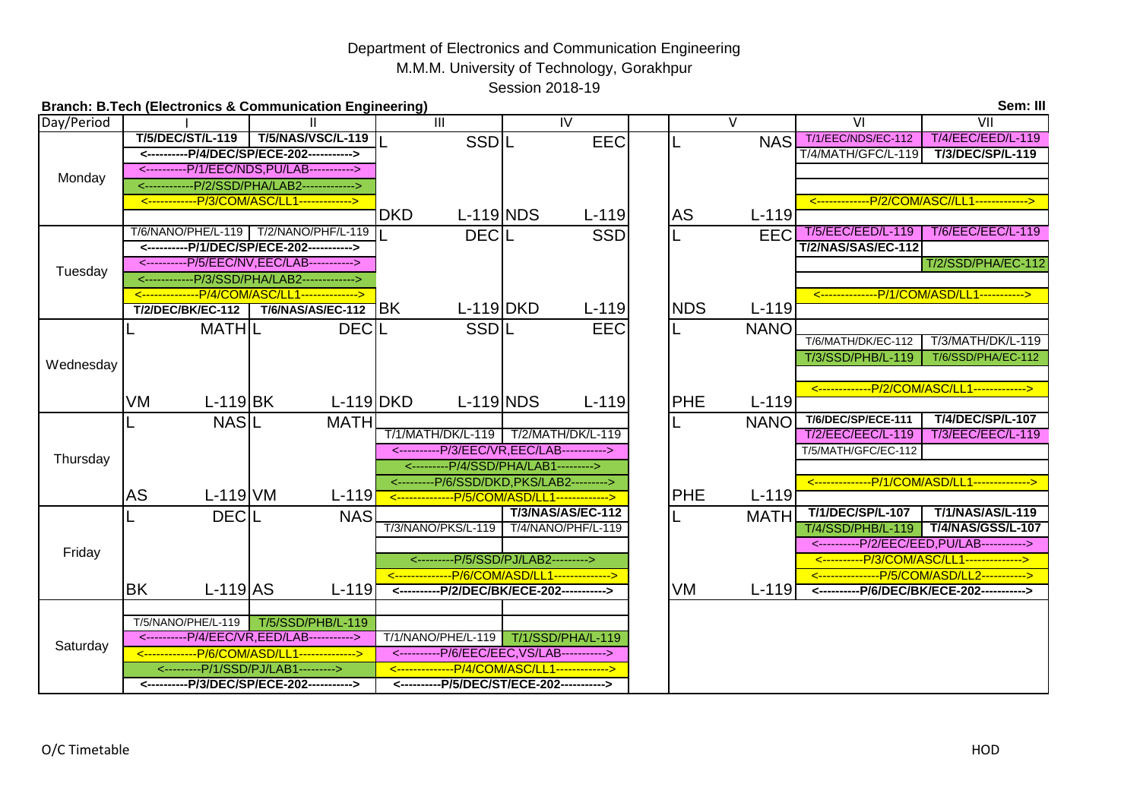## M.M.M. University of Technology, Gorakhpur Session 2018-19 Department of Electronics and Communication Engineering

| Sem: III<br><b>Branch: B.Tech (Electronics &amp; Communication Engineering)</b> |                          |                                                                                      |                            |                                                                                           |                       |                                                                            |  |  |
|---------------------------------------------------------------------------------|--------------------------|--------------------------------------------------------------------------------------|----------------------------|-------------------------------------------------------------------------------------------|-----------------------|----------------------------------------------------------------------------|--|--|
| Day/Period                                                                      |                          |                                                                                      | $\overline{\mathbb{H}}$    | $\overline{\mathsf{I}}$                                                                   | $\vee$                | $\overline{V}$<br>$\overline{\mathsf{V}}$                                  |  |  |
| Monday                                                                          | <b>T/5/DEC/ST/L-119</b>  | <b>T/5/NAS/VSC/L-119</b>                                                             | SSDIL                      | <b>EEC</b>                                                                                | <b>NAS</b>            | <b>T/4/EEC/EED/L-119</b><br>T/1/EEC/NDS/EC-112                             |  |  |
|                                                                                 |                          | <----------P/4/DEC/SP/ECE-202----------->                                            |                            |                                                                                           |                       | T/4/MATH/GFC/L-119<br>T/3/DEC/SP/L-119                                     |  |  |
|                                                                                 |                          | <----------P/1/EEC/NDS,PU/LAB----------->                                            |                            |                                                                                           |                       |                                                                            |  |  |
|                                                                                 |                          | <------------P/2/SSD/PHA/LAB2------------->                                          |                            |                                                                                           |                       |                                                                            |  |  |
|                                                                                 |                          | <------------P/3/COM/ASC/LL1------------->                                           |                            |                                                                                           |                       | <-------------P/2/COM/ASC//LL1------------->                               |  |  |
|                                                                                 |                          |                                                                                      | <b>DKD</b>                 | $L-119 NDS$<br>$L-119$                                                                    | AS<br>$L-119$         |                                                                            |  |  |
|                                                                                 |                          | T/6/NANO/PHE/L-119   T/2/NANO/PHF/L-119<br><----------P/1/DEC/SP/ECE-202-----------> | <b>DECIL</b>               | <b>SSD</b>                                                                                | <b>EEC</b>            | T/5/EEC/EED/L-119<br><b>T/6/EEC/EEC/L-119</b><br><b>T/2/NAS/SAS/EC-112</b> |  |  |
|                                                                                 |                          | <----------P/5/EEC/NV,EEC/LAB----------->                                            |                            |                                                                                           |                       | T/2/SSD/PHA/EC-112                                                         |  |  |
| Tuesday                                                                         |                          | <------------P/3/SSD/PHA/LAB2------------->                                          |                            |                                                                                           |                       |                                                                            |  |  |
|                                                                                 |                          | <---------------P/4/COM/ASC/LL1-------------->                                       |                            |                                                                                           |                       | <--------------P/1/COM/ASD/LL1----------->                                 |  |  |
|                                                                                 | <b>T/2/DEC/BK/EC-112</b> | <b>T/6/NAS/AS/EC-112</b>                                                             | $L-119$ DKD<br><b>BK</b>   | $L-119$                                                                                   | <b>NDS</b><br>$L-119$ |                                                                            |  |  |
|                                                                                 | <b>MATHIL</b>            | <b>DECIL</b>                                                                         | SSDIL                      | <b>EEC</b>                                                                                | <b>NANO</b>           |                                                                            |  |  |
|                                                                                 |                          |                                                                                      |                            |                                                                                           |                       | T/3/MATH/DK/L-119<br>T/6/MATH/DK/EC-112                                    |  |  |
|                                                                                 |                          |                                                                                      |                            |                                                                                           |                       | T/3/SSD/PHB/L-119<br>T/6/SSD/PHA/EC-112                                    |  |  |
| Wednesday                                                                       |                          |                                                                                      |                            |                                                                                           |                       |                                                                            |  |  |
|                                                                                 |                          |                                                                                      |                            |                                                                                           |                       | <--------------P/2/COM/ASC/LL1------------->                               |  |  |
|                                                                                 | VM                       | $L-119$ BK                                                                           | $L-119 DKD$<br>$L-119$ NDS | $L-119$                                                                                   | <b>PHE</b><br>$L-119$ |                                                                            |  |  |
|                                                                                 | <b>NASIL</b>             | <b>MATH</b>                                                                          |                            |                                                                                           | <b>NANO</b>           | <b>T/4/DEC/SP/L-107</b><br>T/6/DEC/SP/ECE-111                              |  |  |
|                                                                                 |                          |                                                                                      |                            | T/1/MATH/DK/L-119   T/2/MATH/DK/L-119                                                     |                       | <b>T/2/EEC/EEC/L-119</b><br><b>T/3/EEC/EEC/L-119</b>                       |  |  |
| Thursday                                                                        |                          |                                                                                      |                            | <----------P/3/EEC/VR,EEC/LAB----------->                                                 |                       | T/5/MATH/GFC/EC-112                                                        |  |  |
|                                                                                 |                          |                                                                                      |                            | <---------P/4/SSD/PHA/LAB1--------->                                                      |                       |                                                                            |  |  |
|                                                                                 | <b>AS</b>                | $L-119$ VM<br>$L-119$                                                                |                            | <---------P/6/SSD/DKD,PKS/LAB2---------><br><---------------P/5/COM/ASD/LL1-------------> | <b>PHE</b><br>$L-119$ | <--------------P/1/COM/ASD/LL1-------------->                              |  |  |
|                                                                                 |                          |                                                                                      |                            | <b>T/3/NAS/AS/EC-112</b>                                                                  |                       | <b>T/1/DEC/SP/L-107</b><br>T/1/NAS/AS/L-119                                |  |  |
|                                                                                 | <b>DECIL</b>             | <b>NAS</b>                                                                           | T/3/NANO/PKS/L-119         | T/4/NANO/PHF/L-119                                                                        | <b>MATH</b>           | <b>T/4/NAS/GSS/L-107</b><br>T/4/SSD/PHB/L-119                              |  |  |
|                                                                                 |                          |                                                                                      |                            |                                                                                           |                       | <----------P/2/EEC/EED, PU/LAB----------->                                 |  |  |
| Friday                                                                          |                          |                                                                                      |                            | <---------P/5/SSD/PJ/LAB2--------->                                                       |                       | <----------P/3/COM/ASC/LL1-------------->                                  |  |  |
|                                                                                 |                          |                                                                                      |                            | <--------------P/6/COM/ASD/LL1------------->                                              |                       | <----------------P/5/COM/ASD/LL2----------->                               |  |  |
|                                                                                 | <b>BK</b>                | $L-119$ AS<br>$L-119$                                                                |                            | <----------P/2/DEC/BK/ECE-202----------->                                                 | VM<br>$L-119$         | <----------P/6/DEC/BK/ECE-202----------->                                  |  |  |
| Saturday                                                                        |                          |                                                                                      |                            |                                                                                           |                       |                                                                            |  |  |
|                                                                                 | T/5/NANO/PHE/L-119       | T/5/SSD/PHB/L-119                                                                    |                            |                                                                                           |                       |                                                                            |  |  |
|                                                                                 |                          | <----------P/4/EEC/VR,EED/LAB----------->                                            |                            | T/1/NANO/PHE/L-119   T/1/SSD/PHA/L-119                                                    |                       |                                                                            |  |  |
|                                                                                 |                          | <-------------P/6/COM/ASD/LL1-------------->                                         |                            | <----------P/6/EEC/EEC, VS/LAB----------->                                                |                       |                                                                            |  |  |
|                                                                                 |                          | <---------P/1/SSD/PJ/LAB1--------->                                                  |                            | <--------------P/4/COM/ASC/LL1------------->                                              |                       |                                                                            |  |  |
|                                                                                 |                          | <----------P/3/DEC/SP/ECE-202----------->                                            |                            | <----------P/5/DEC/ST/ECE-202----------->                                                 |                       |                                                                            |  |  |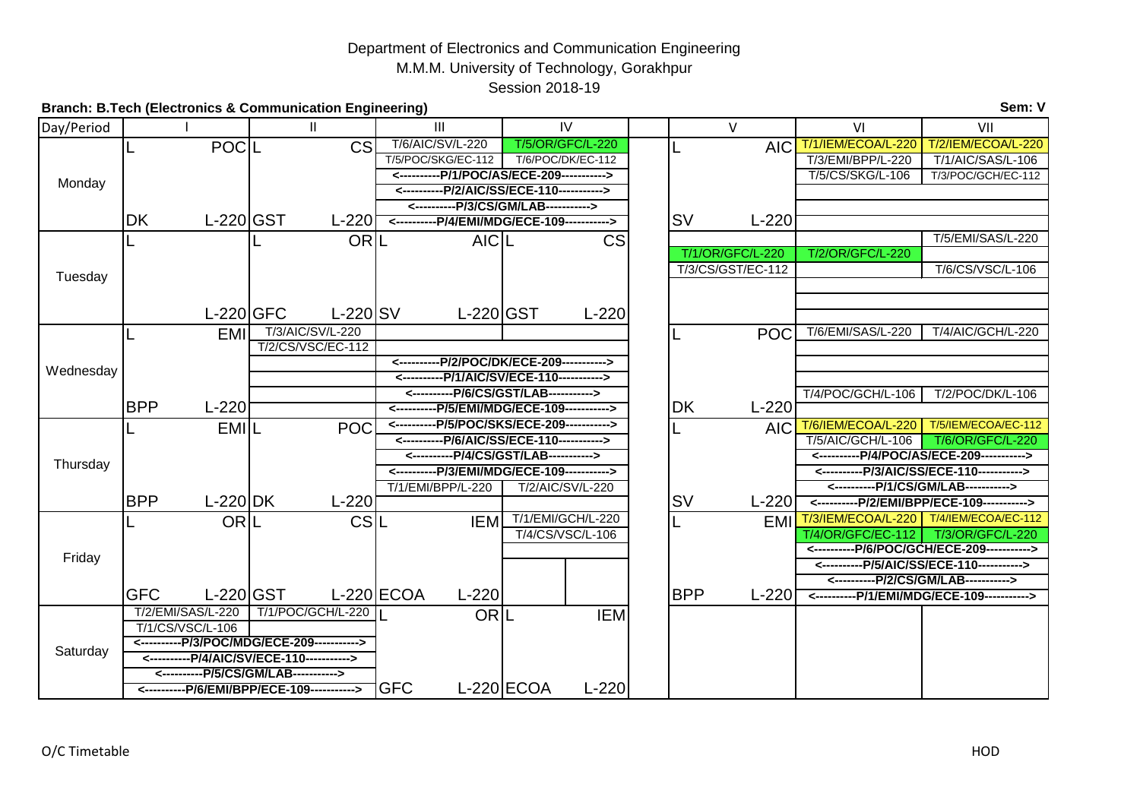## Department of Electronics and Communication Engineering M.M.M. University of Technology, Gorakhpur Session 2018-19

| Sem: V<br><b>Branch: B.Tech (Electronics &amp; Communication Engineering)</b> |                          |                                            |                                      |                                             |  |                         |                                             |                                                              |  |
|-------------------------------------------------------------------------------|--------------------------|--------------------------------------------|--------------------------------------|---------------------------------------------|--|-------------------------|---------------------------------------------|--------------------------------------------------------------|--|
| Day/Period                                                                    |                          |                                            | III                                  | IV                                          |  | $\vee$                  | VI                                          | VII                                                          |  |
|                                                                               | POCL                     | CS                                         | T/6/AIC/SV/L-220                     | <b>T/5/OR/GFC/L-220</b>                     |  | <b>AIC</b>              |                                             | T/1/IEM/ECOA/L-220   T/2/IEM/ECOA/L-220                      |  |
| Monday                                                                        |                          |                                            | T/5/POC/SKG/EC-112                   | T/6/POC/DK/EC-112                           |  |                         | T/3/EMI/BPP/L-220                           | T/1/AIC/SAS/L-106                                            |  |
|                                                                               |                          |                                            |                                      | <----------P/1/POC/AS/ECE-209----------->   |  |                         | T/5/CS/SKG/L-106                            | T/3/POC/GCH/EC-112                                           |  |
|                                                                               |                          |                                            |                                      | <----------P/2/AIC/SS/ECE-110----------->   |  |                         |                                             |                                                              |  |
|                                                                               |                          |                                            | <----------P/3/CS/GM/LAB-----------> |                                             |  |                         |                                             |                                                              |  |
|                                                                               | <b>DK</b>                | $L-220$ GST<br>$L-220$                     |                                      | <----------P/4/EMI/MDG/ECE-109----------->  |  | <b>SV</b><br>$L-220$    |                                             |                                                              |  |
|                                                                               |                          | ORL                                        | <b>AICIL</b>                         | CS                                          |  |                         |                                             | T/5/EMI/SAS/L-220                                            |  |
|                                                                               |                          |                                            |                                      |                                             |  | <b>T/1/OR/GFC/L-220</b> | T/2/OR/GFC/L-220                            |                                                              |  |
| Tuesday                                                                       |                          |                                            |                                      |                                             |  | T/3/CS/GST/EC-112       |                                             | T/6/CS/VSC/L-106                                             |  |
|                                                                               |                          |                                            |                                      |                                             |  |                         |                                             |                                                              |  |
|                                                                               |                          | $L-220$ GFC<br>L-220 SV                    | $L-220$ GST                          | $L-220$                                     |  |                         |                                             |                                                              |  |
|                                                                               | <b>EMI</b>               | T/3/AIC/SV/L-220                           |                                      |                                             |  | <b>POC</b>              | T/6/EMI/SAS/L-220                           | T/4/AIC/GCH/L-220                                            |  |
|                                                                               |                          | T/2/CS/VSC/EC-112                          |                                      |                                             |  |                         |                                             |                                                              |  |
|                                                                               |                          |                                            |                                      | <----------P/2/POC/DK/ECE-209----------->   |  |                         |                                             |                                                              |  |
| Wednesday                                                                     |                          |                                            |                                      | <----------P/1/AIC/SV/ECE-110----------->   |  |                         |                                             |                                                              |  |
|                                                                               |                          |                                            |                                      | <----------P/6/CS/GST/LAB----------->       |  |                         | T/4/POC/GCH/L-106                           | T/2/POC/DK/L-106                                             |  |
|                                                                               | <b>BPP</b><br>$L-220$    |                                            |                                      | <-----------P/5/EMI/MDG/ECE-109-----------> |  | <b>DK</b><br>$L-220$    |                                             |                                                              |  |
|                                                                               | EMIL                     | <b>POC</b>                                 |                                      | <----------P/5/POC/SKS/ECE-209----------->  |  | <b>AIC</b>              | <b>T/6/IEM/ECOA/L-220</b>                   | T/5/IEM/ECOA/EC-112                                          |  |
|                                                                               |                          |                                            |                                      | <----------P/6/AIC/SS/ECE-110----------->   |  |                         | T/5/AIC/GCH/L-106                           | <b>T/6/OR/GFC/L-220</b>                                      |  |
| Thursday                                                                      |                          |                                            |                                      | <----------P/4/CS/GST/LAB----------->       |  |                         | <-----------P/4/POC/AS/ECE-209------------> |                                                              |  |
|                                                                               |                          |                                            |                                      | <----------P/3/EMI/MDG/ECE-109----------->  |  |                         | <----------P/3/AIC/SS/ECE-110----------->   |                                                              |  |
|                                                                               | <b>BPP</b><br>$L-220$ DK | $L-220$                                    | T/1/EMI/BPP/L-220                    | T/2/AIC/SV/L-220                            |  | <b>SV</b><br>$L-220$    | <----------P/1/CS/GM/LAB----------->        |                                                              |  |
|                                                                               |                          |                                            |                                      |                                             |  |                         | <----------P/2/EMI/BPP/ECE-109----------->  |                                                              |  |
| Friday                                                                        | ORIL                     | CSIL                                       | <b>IEM</b>                           | T/1/EMI/GCH/L-220<br>T/4/CS/VSC/L-106       |  | <b>EMI</b>              | T/4/OR/GFC/EC-112                           | T/3/IEM/ECOA/L-220   T/4/IEM/ECOA/EC-112<br>T/3/OR/GFC/L-220 |  |
|                                                                               |                          |                                            |                                      |                                             |  |                         | <----------P/6/POC/GCH/ECE-209----------->  |                                                              |  |
|                                                                               |                          |                                            |                                      |                                             |  |                         | <----------P/5/AIC/SS/ECE-110----------->   |                                                              |  |
|                                                                               |                          |                                            |                                      |                                             |  |                         | <----------P/2/CS/GM/LAB----------->        |                                                              |  |
|                                                                               | <b>GFC</b>               | $L-220 GST$                                | $L-220$ ECOA<br>$L-220$              |                                             |  | <b>BPP</b><br>$L-220$   | <----------P/1/EMI/MDG/ECE-109----------->  |                                                              |  |
| Saturday                                                                      | T/2/EMI/SAS/L-220        | T/1/POC/GCH/L-220                          | <b>ORL</b>                           | <b>IEM</b>                                  |  |                         |                                             |                                                              |  |
|                                                                               | T/1/CS/VSC/L-106         |                                            |                                      |                                             |  |                         |                                             |                                                              |  |
|                                                                               |                          | <----------P/3/POC/MDG/ECE-209-----------> |                                      |                                             |  |                         |                                             |                                                              |  |
|                                                                               |                          | <----------P/4/AIC/SV/ECE-110----------->  |                                      |                                             |  |                         |                                             |                                                              |  |
|                                                                               |                          | <----------P/5/CS/GM/LAB----------->       |                                      |                                             |  |                         |                                             |                                                              |  |
|                                                                               |                          | <----------P/6/EMI/BPP/ECE-109-----------> | <b>GFC</b>                           | $L-220$ ECOA<br>$L-220$                     |  |                         |                                             |                                                              |  |